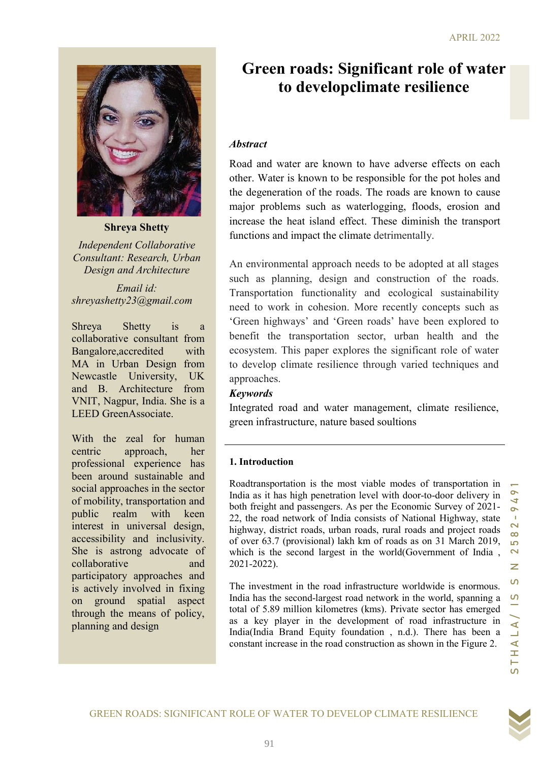

Shreya Shetty

Independent Collaborative Consultant: Research, Urban Design and Architecture

Email id: shreyashetty23@gmail.com

Shreya Shetty is a collaborative consultant from Bangalore,accredited with MA in Urban Design from Newcastle University, UK and B. Architecture from VNIT, Nagpur, India. She is a LEED GreenAssociate.

With the zeal for human centric approach, her professional experience has been around sustainable and social approaches in the sector of mobility, transportation and public realm with keen interest in universal design, accessibility and inclusivity. She is astrong advocate of collaborative and participatory approaches and is actively involved in fixing on ground spatial aspect through the means of policy, planning and design

# Green roads: Significant role of water to developclimate resilience

### Abstract

Road and water are known to have adverse effects on each other. Water is known to be responsible for the pot holes and the degeneration of the roads. The roads are known to cause major problems such as waterlogging, floods, erosion and increase the heat island effect. These diminish the transport functions and impact the climate detrimentally.

similar Research, Urban May isolation and constructed approach and spaced at all stages<br> *Framilai.* Transportation functionality and coological sustainability<br>
spacehety)23@gmail.com<br> **Engenting the mass plane and the re** An environmental approach needs to be adopted at all stages such as planning, design and construction of the roads. Transportation functionality and ecological sustainability need to work in cohesion. More recently concepts such as 'Green highways' and 'Green roads' have been explored to benefit the transportation sector, urban health and the ecosystem. This paper explores the significant role of water to develop climate resilience through varied techniques and approaches.

### Keywords

Integrated road and water management, climate resilience, green infrastructure, nature based soultions

### 1. Introduction

Roadtransportation is the most viable modes of transportation in India as it has high penetration level with door-to-door delivery in both freight and passengers. As per the Economic Survey of 2021- 22, the road network of India consists of National Highway, state highway, district roads, urban roads, rural roads and project roads of over 63.7 (provisional) lakh km of roads as on 31 March 2019, which is the second largest in the world(Government of India , 2021-2022).

The investment in the road infrastructure worldwide is enormous. India has the second-largest road network in the world, spanning a total of 5.89 million kilometres (kms). Private sector has emerged as a key player in the development of road infrastructure in India(India Brand Equity foundation , n.d.). There has been a constant increase in the road construction as shown in the Figure 2.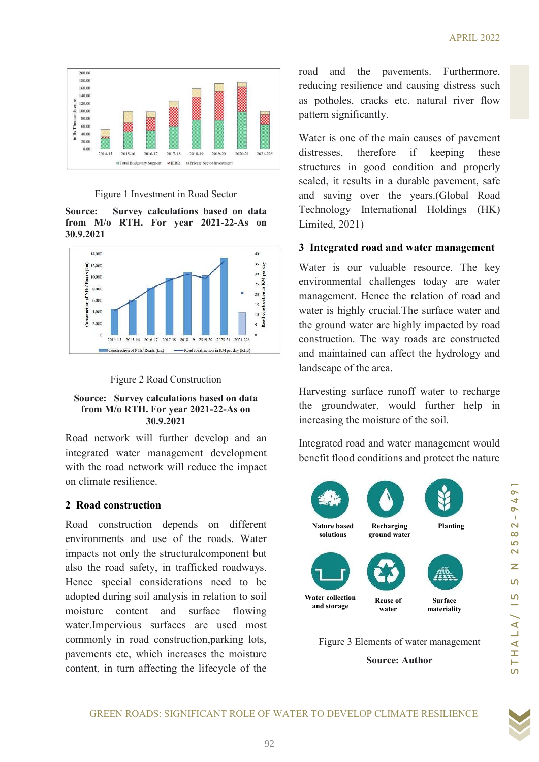

### Figure 1 Investment in Road Sector

Source: Survey calculations based on data from M/o RTH. For year 2021-22-As on 30.9.2021





#### Source: Survey calculations based on data from M/o RTH. For year 2021-22-As on 30.9.2021

Road network will further develop and an integrated water management development with the road network will reduce the impact on climate resilience.

### 2 Road construction

GREEN ROADS: SIGNIFICANT ROLE OF WATER TO DEVELOP CLIMATE RESILIENCE<br>
ORDER ROADS: SIGNIFICANT ROLE OF WATER TO DEVELOP CHANCE RESILIENCE<br>
ROADS AND IN A LOT ON THE SUCTION OF THE SUCTION OF SUCTION OF SUCTION OF SUCTION content, in turn affecting the lifecycle of the Road construction depends on different environments and use of the roads. Water impacts not only the structuralcomponent but also the road safety, in trafficked roadways. Hence special considerations need to be adopted during soil analysis in relation to soil moisture content and surface flowing water.Impervious surfaces are used most commonly in road construction,parking lots, pavements etc, which increases the moisture

road and the pavements. Furthermore, reducing resilience and causing distress such as potholes, cracks etc. natural river flow pattern significantly.

Water is one of the main causes of pavement distresses, therefore if keeping these structures in good condition and properly sealed, it results in a durable pavement, safe and saving over the years.(Global Road Technology International Holdings (HK) Limited, 2021)

## 3 Integrated road and water management

Water is our valuable resource. The key environmental challenges today are water management. Hence the relation of road and water is highly crucial.The surface water and the ground water are highly impacted by road construction. The way roads are constructed and maintained can affect the hydrology and landscape of the area.

Harvesting surface runoff water to recharge the groundwater, would further help in increasing the moisture of the soil.

Integrated road and water management would benefit flood conditions and protect the nature



Figure 3 Elements of water management

Source: Author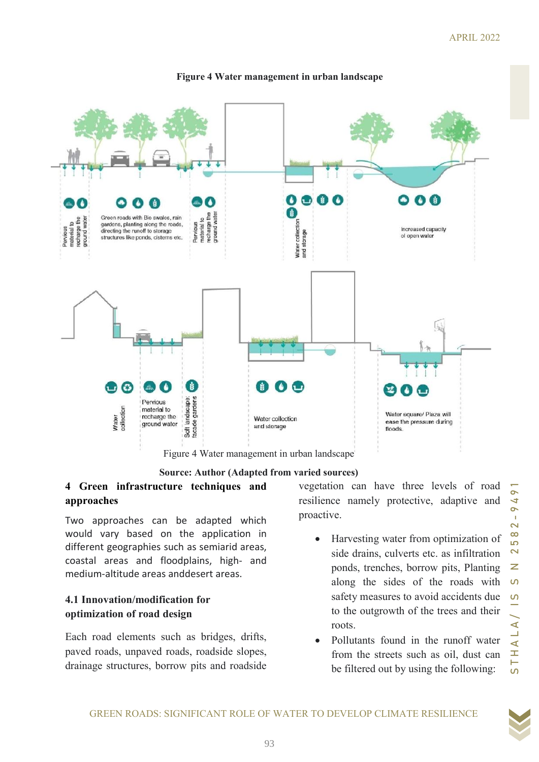

### Figure 4 Water management in urban landscape

Source: Author (Adapted from varied sources)

# approaches

Two approaches can be adapted which would vary based on the application in different geographies such as semiarid areas, coastal areas and floodplains, high- and medium-altitude areas anddesert areas.

## 4.1 Innovation/modification for optimization of road design

Each road elements such as bridges, drifts, paved roads, unpaved roads, roadside slopes, drainage structures, borrow pits and roadside

vegetation can have three levels of road resilience namely protective, adaptive and proactive.

- Harvesting water from optimization of side drains, culverts etc. as infiltration ponds, trenches, borrow pits, Planting along the sides of the roads with safety measures to avoid accidents due to the outgrowth of the trees and their roots.
- Pollutants found in the runoff water from the streets such as oil, dust can be filtered out by using the following: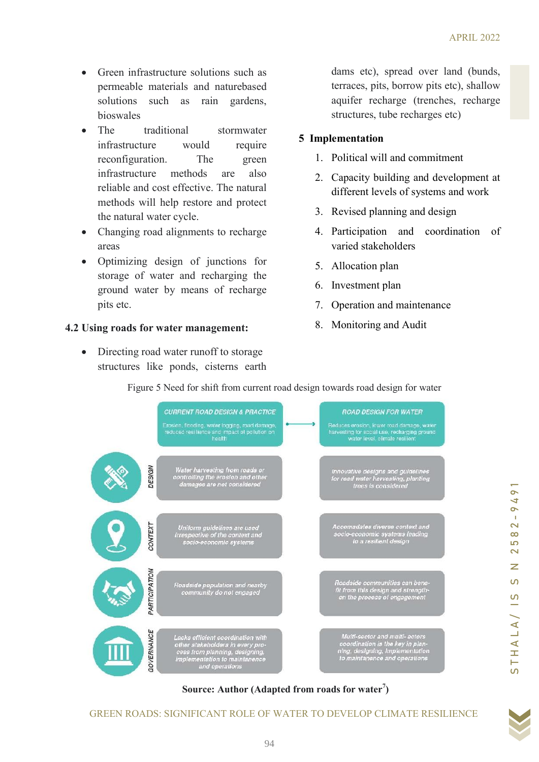- Green infrastructure solutions such as permeable materials and naturebased solutions such as rain gardens, bioswales
- The traditional stormwater infrastructure would require reconfiguration. The green infrastructure methods are also reliable and cost effective. The natural methods will help restore and protect the natural water cycle.
- Changing road alignments to recharge areas
- Optimizing design of junctions for storage of water and recharging the ground water by means of recharge pits etc.

## 4.2 Using roads for water management:

• Directing road water runoff to storage structures like ponds, cisterns earth dams etc), spread over land (bunds, terraces, pits, borrow pits etc), shallow aquifer recharge (trenches, recharge structures, tube recharges etc)

# 5 Implementation

- 1. Political will and commitment
- 2. Capacity building and development at different levels of systems and work
- 3. Revised planning and design
- 4. Participation and coordination of varied stakeholders
- 5. Allocation plan
- 6. Investment plan
- 7. Operation and maintenance
- 8. Monitoring and Audit

Optimizing design of junctions for  $\theta$ . Allocation plan<br>
ground voider and recharge the<br>
ground voider by reason of recharge<br>
sing roads for water management: 8. Monitoring and Audit<br>
Since States in the ponds, cisitens Source: Author (Adapted from roads for water $\bar{'}$ )

Figure 5 Need for shift from current road design towards road design for water